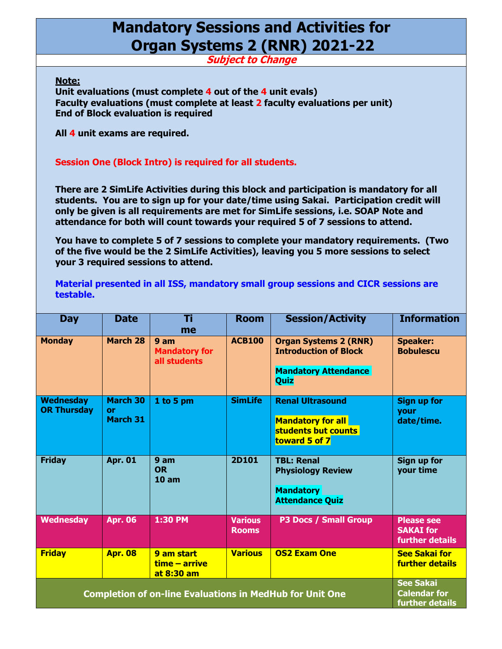## **Mandatory Sessions and Activities for Organ Systems 2 (RNR) 2021-22**

**Subject to Change**

**Note:** 

**Unit evaluations (must complete 4 out of the 4 unit evals) Faculty evaluations (must complete at least 2 faculty evaluations per unit) End of Block evaluation is required** 

**All 4 unit exams are required.** 

## **Session One (Block Intro) is required for all students.**

**There are 2 SimLife Activities during this block and participation is mandatory for all students. You are to sign up for your date/time using Sakai. Participation credit will only be given is all requirements are met for SimLife sessions, i.e. SOAP Note and attendance for both will count towards your required 5 of 7 sessions to attend.** 

**You have to complete 5 of 7 sessions to complete your mandatory requirements. (Two of the five would be the 2 SimLife Activities), leaving you 5 more sessions to select your 3 required sessions to attend.** 

**Material presented in all ISS, mandatory small group sessions and CICR sessions are testable.**

| <b>Day</b>                                                      | <b>Date</b>                                                | Τi<br>me                                                | <b>Room</b>                    | <b>Session/Activity</b>                                                                             | <b>Information</b>                                       |
|-----------------------------------------------------------------|------------------------------------------------------------|---------------------------------------------------------|--------------------------------|-----------------------------------------------------------------------------------------------------|----------------------------------------------------------|
| <b>Monday</b>                                                   | March 28                                                   | 9 <sub>am</sub><br><b>Mandatory for</b><br>all students | <b>ACB100</b>                  | <b>Organ Systems 2 (RNR)</b><br><b>Introduction of Block</b><br><b>Mandatory Attendance</b><br>Quiz | <b>Speaker:</b><br><b>Bobulescu</b>                      |
| <b>Wednesday</b><br><b>OR Thursday</b>                          | <b>March 30</b><br>or<br><b>March 31</b>                   | 1 to 5 pm                                               | <b>SimLife</b>                 | <b>Renal Ultrasound</b><br><b>Mandatory for all</b><br>students but counts<br>toward 5 of 7         | <b>Sign up for</b><br><b>your</b><br>date/time.          |
| <b>Friday</b>                                                   | <b>Apr. 01</b>                                             | 9 am<br><b>OR</b><br>10 <sub>am</sub>                   | <b>2D101</b>                   | <b>TBL: Renal</b><br><b>Physiology Review</b><br><b>Mandatory</b><br><b>Attendance Quiz</b>         | <b>Sign up for</b><br>your time                          |
| <b>Wednesday</b>                                                | <b>Apr. 06</b>                                             | 1:30 PM                                                 | <b>Various</b><br><b>Rooms</b> | <b>P3 Docs / Small Group</b>                                                                        | <b>Please see</b><br><b>SAKAI</b> for<br>further details |
| <b>Friday</b>                                                   | <b>Apr. 08</b>                                             | 9 am start<br>$time - arrive$<br>at 8:30 am             | <b>Various</b>                 | <b>OS2 Exam One</b>                                                                                 | <b>See Sakai for</b><br><b>further details</b>           |
| <b>Completion of on-line Evaluations in MedHub for Unit One</b> | <b>See Sakai</b><br><b>Calendar for</b><br>further details |                                                         |                                |                                                                                                     |                                                          |